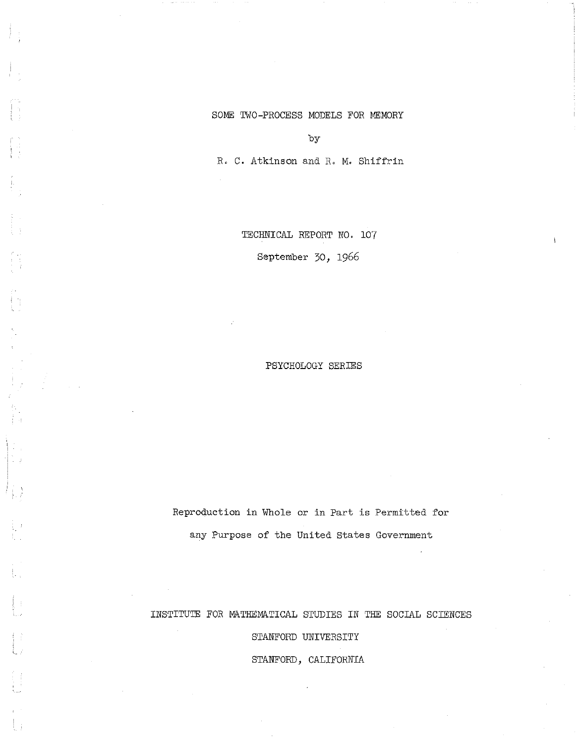## SOME TWO-PROCESS MODELS FOR MEMORY

by

R, C, Atkinson and R. M, Shiffrin

TECHNICAL REPORT NO, 107

September 30, 1966

PSYCHOLOGY SERIES

Reproduction in Whole or in Part is Permitted for any Purpose of the United States Government

INSTITUTE FOR MATHEMATICAL STUDIES IN THE SOCIAL SCIENCES

STANFORD UNIVERSITY

STANFORD, CALIFORNIA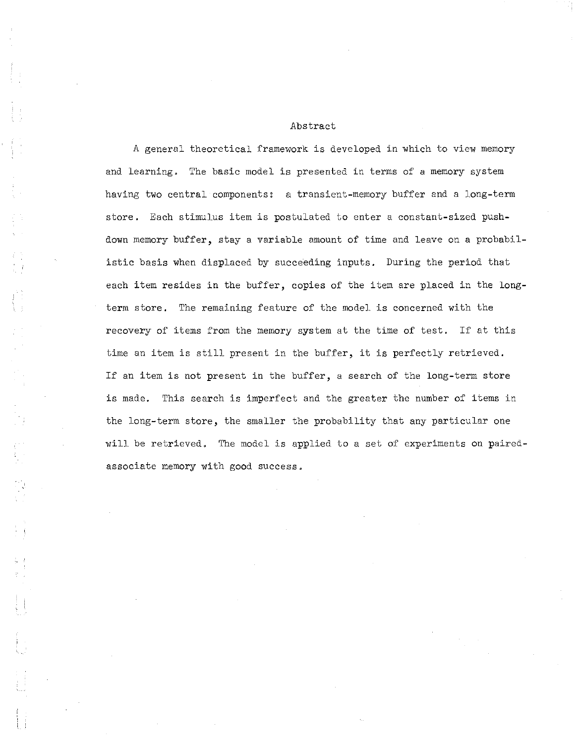#### Abstract

A general theoretical framework is developed in which to view memory and learning. The basic model is presented in terms of a memory system having two central components: a transient-memory buffer and a long-term store. Each stimulus item is postulated to enter a constant-sized pushdown memory buffer, stay a variable amount of time and leave on a probabilistic basis when displaced by succeeding inputs. During the period that each item resides in the buffer, copies of the item are placed in the longterm store. The remaining feature of the model is concerned with the recovery of items from the memory system at the time of test. If at this time an item is still present in the buffer, it is perfectly retrieved. If an item is not present in the buffer, a search of the long-term store is made. This search is imperfect and the greater the number of items in the long-term store, the smaller the probability that any particular one will be retrieved. The model is applied to a set of experiments on pairedassociate memory with good success.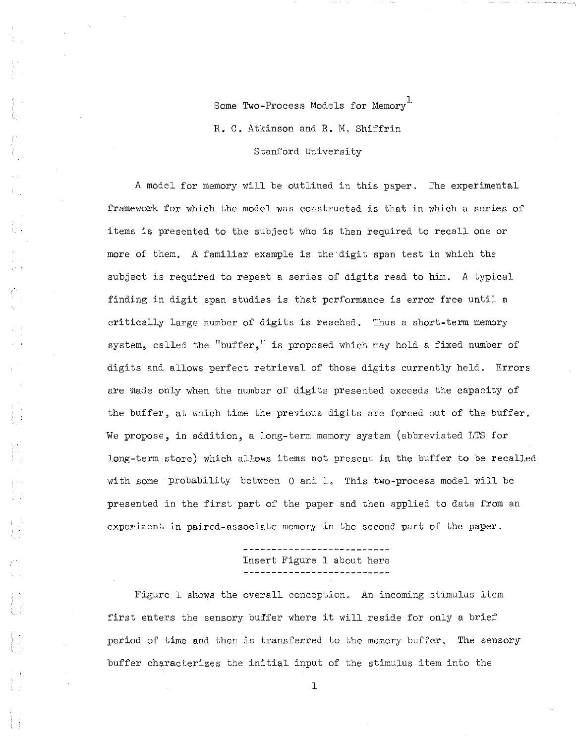Some Two-Process Models for Memory<sup>1</sup> R. C. Atkinson and R. M, Shiffrin Stanford University

A model for memory will be outlined in this paper. The experimental framework for which the model was constructed is that in which a series of items is presented to the subject who is then required to recall one or more of them. A familiar example is the'digit span test in which the subject is required to repeat a series of digits read to him. A typical finding in digit span studies is that performance is error free until a critically large number of digits is reached. Thus a short-term memory system, called the "buffer," is proposed which may hold a fixed number of digits and allows perfect retrieval of those digits currently held, Errors are made only when the number of digits presented exceeds the capacity of the buffer, at which time the previous digits are forced out of the buffer, We propose, in addition, a long-term memory system (abbreviated LTS for long-term store) which allows items not presenc in the buffer to be recalled with some probability between 0 and 1, This two-process model will be presented in the first part of the paper and then applied to data from an experiment in paired-associate memory in the second part of the paper.

Insert Figure 1 about here

Figure 1 shows the overall conception. An incoming stimulus item first enters the sensory buffer where it will reside for only a brief period of time and then is transferred to the memory buffer. The sensory buffer characterizes the initial input of the stimulus item into the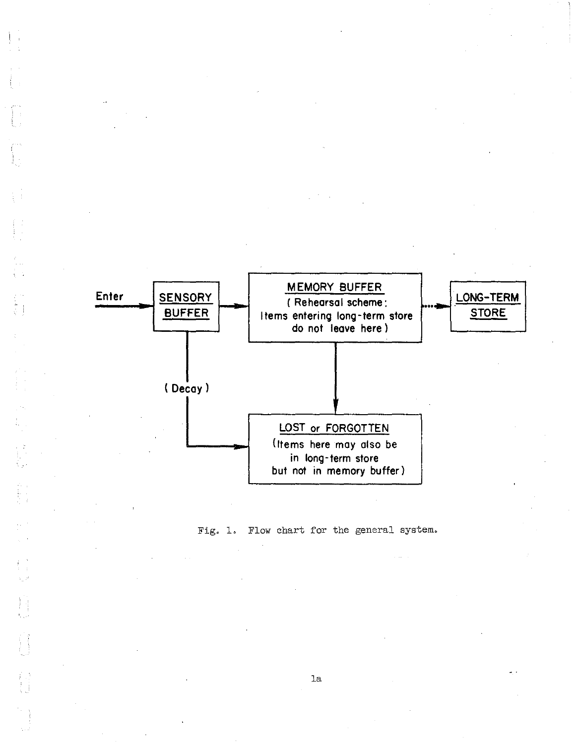

 $\begin{aligned} \frac{d\mathbf{x}}{dt} &= \frac{d\mathbf{x}}{dt} \\ \frac{d\mathbf{x}}{dt} &= \frac{d\mathbf{x}}{dt} \end{aligned}$ 

Fig. 1. Flow chart for the general system.

la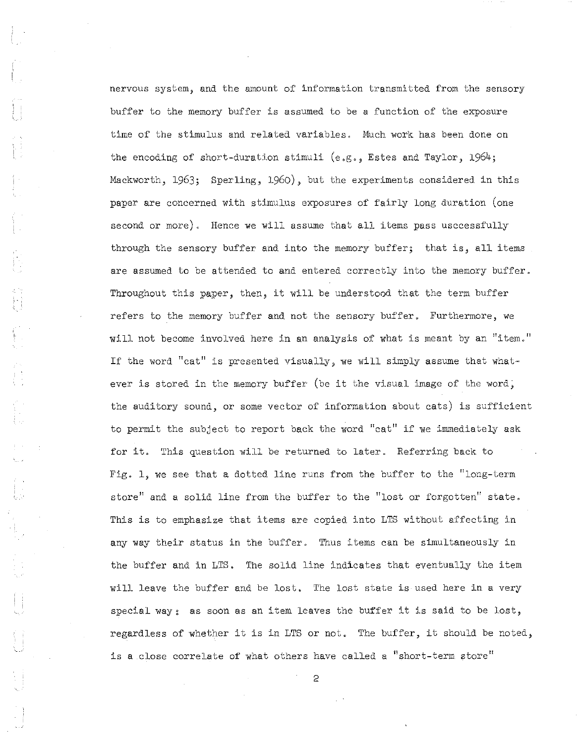nervous system, and the amount of information transmitted from the sensory buffer to the memory buffer is assumed to be a function of the exposure time of the stimulus and related variables. Much work has been done on the encoding of short-duration stimuli (e.g., Estes and Taylor, 1964; Mackworth, 1963; Sperling, 1960), but the experiments considered in this paper are concerned with stimulus exposures of fairly long duration (one second or more). Hence we will assume that all items pass usccessfully through the sensory buffer and into the memory buffer; that is, all items are assumed to be attended to and entered correctly into the memory buffer. Throughout this paper, then, it will be understood that the term buffer refers to the memory buffer and not the sensory buffer. Furthermore, we will not become involved here in an analysis of what is meant by an "item." If the word "cat" is presented visually, we will simply assume that whatever is stored in the memory buffer (be it the visual image of the word, the auditory sound, or some vector of information about cats) is sufficient to permit the subject to report back the word "cat" if we immediately ask for it. This question will be returned to later. Referring back to Fig.  $l<sub>9</sub>$  we see that a dotted line runs from the buffer to the "long-term store" and a solid line from the buffer to the "lost or forgotten" state. This is to emphasize that items are copied into LTS without affecting in any way their status in the buffer. Thus items can be simultaneously in the buffer and in LTS. The solid line indicates that eventually the item will leave the buffer and be lost. The lost state is used here in a very special way; as soon as an item leaves the buffer it is said to be lost, regardless of whether it is in LTS or not. The buffer, it should be noted, is a close correlate of what others have called a "short-term store"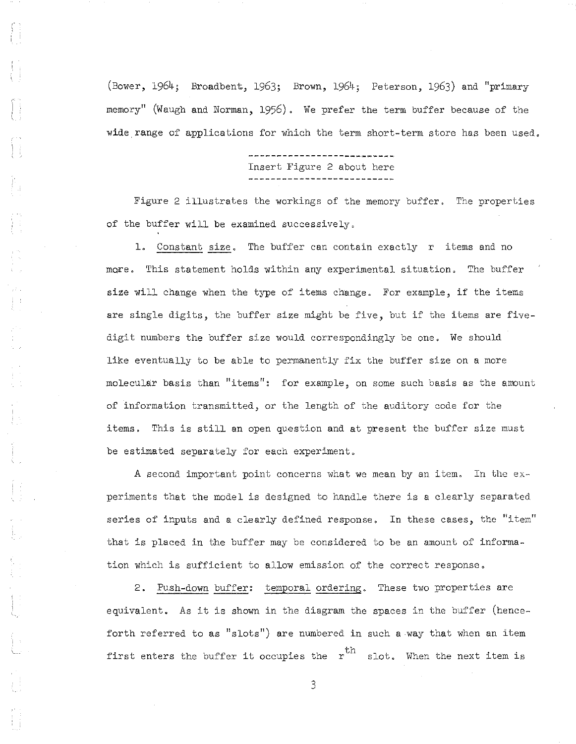(Bower, 1964; Broadbent, 1963; Brown, 1964; Peterson, 1963) and "primary memory" (Waugh and Norman, 1956). We prefer the term buffer because of the wide range of applications for which the term short-term store has been used.

# Insert Figure 2 about here

Figure 2 illustrates the workings of the memory buffer. The properties of the buffer will be examined successively.

1. Constant size. The buffer can contain exactly  $r$  items and no mQre. This statement holds within any experimental situation. The buffer size will change when the type of items change. For example, if the items are single digits, the buffer size might be five, but if the items are fivedigit numbers the buffer size would correspondingly be one. We should like eventually to be able to permanently fix the buffer size on a more molecular basis than "items": for example, on some such basis as the amount of information transmitted, or the length of the auditory code for the items. This is still an open question and at present the buffer size must be estimated separately for each experiment.

 $\begin{bmatrix} 1 & 1 \\ 1 & 1 \end{bmatrix}$ 

A second important point concerns what we mean by an item. In the  $ex$ periments that the model is designed to handle there is a clearly separated series of inputs and a clearly defined response. In these cases, the "item" that is placed in the buffer may be considered to be an amount of information which is sufficient to allow emission of the correct response.

2. Push-down buffer: temporal ordering. These two properties are equivalent. As it is shown in the diagram the spaces in the buffer (henceforth referred to as " $slots$ ") are numbered in such a way that when an item first enters the buffer it occupies the  $\rm \ r^{th}$  slot. When the next item is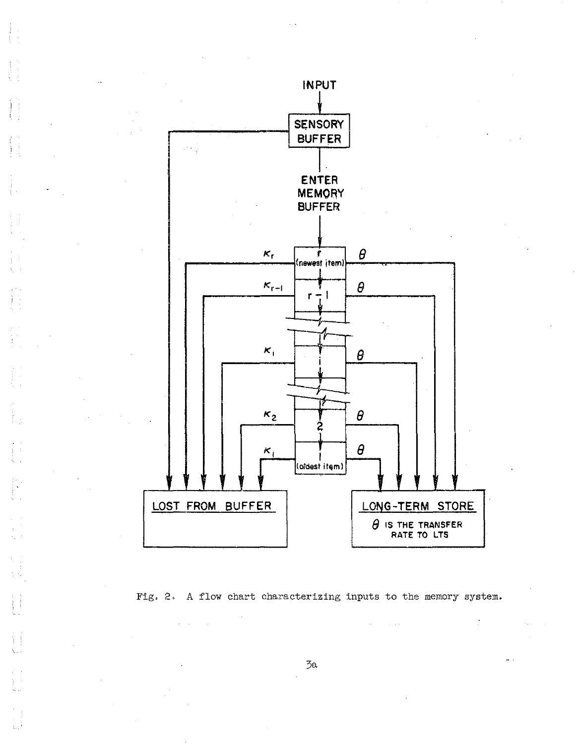

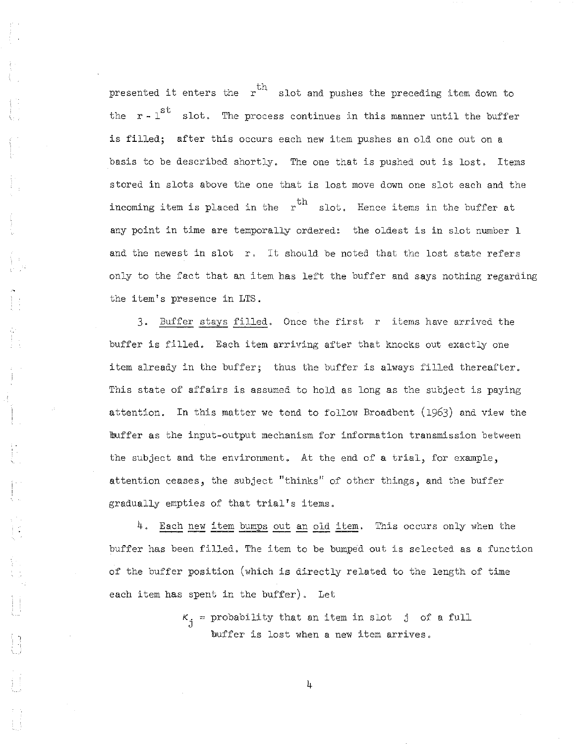presented it enters the  $\ \mathfrak{r}^{\mathrm{th}}$  slot and pushes the preceding item down to the  $r$  -  $1^{st}$  slot. The process continues in this manner until the buffer is filled; after this occurs each new item pushes an old one out on a basis to be described shortly. The one that is pushed out is lost. Items stored in slots above the one that is lost move down one slot each and the incoming item is placed in the  $\begin{array}{cc} \hbox{ }r\hbox{ }& \hbox{ }s\hbox{ }{\rm tot}. \end{array}$  Hence items in the buffer at any point in time are temporally ordered: the oldest is in slot number 1 and the newest in slot r. It should be noted that the lost state refers only to the fact that an item has left the buffer and. says nothing regarding the item's presence in LTS.

3. Buffer stays filled. Once the first r items have arrived the buffer is filled. Each item arriving after that knocks out exactly one item already in the buffer; thus the buffer is always filled thereafter. This state of affairs is assumed to hold as long as the subject is paying attention. In this matter we tend to follow Broadbent (1963) and view the !buffer as the input-output mechanism for information transmission between the subject and the environment. At the end of a trial, for example, attention ceases, the subject "thinks" of other things, and the buffer gradually empties of that trial's items.

4. Each new item bumps out an old item. This occurs only when the buffer has been filled. The item to be bumped out is selected as a function of the buffer position (Which is directly related to the length of time each item has spent in the buffer). Let

 $K_{j}$  = probability that an item in slot j of a full buffer is lost when a new item arrives.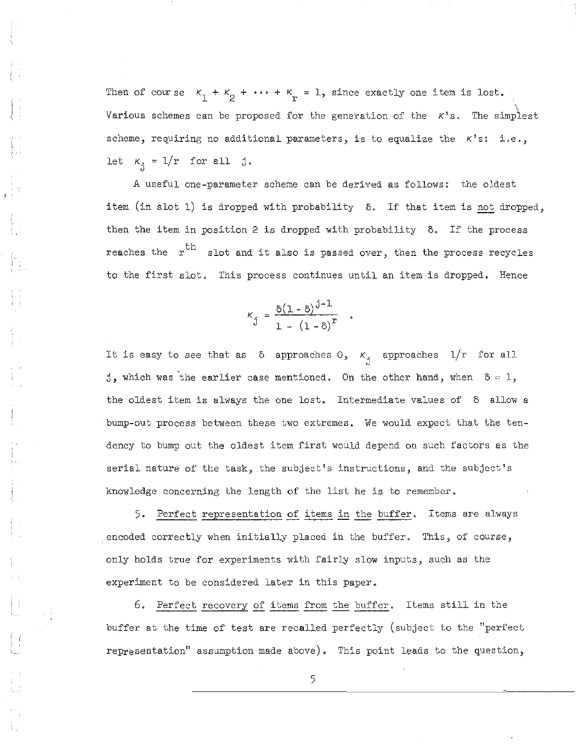Then of course  $K_1 + K_2 + \cdots + K_r = 1$ , since exactly one item is lost. Various schemes can be proposed for the generation of the *K*'s. The simplest scheme, requiring no additional parameters, is to equalize the *K's:* i.e., let  $K_{\hat{i}} = 1/r$  for all j.

A useful one-parameter scheme can be derived as follows: the oldest item (in slot 1) is dropped with probability 5. If that item is not dropped, then the item in position 2 is dropped with probability  $\delta$ . If the process reaches the  $\ r^{\text{th}}$  slot and it also is passed over, then the process recycles to the first slot. This process continues until an item is dropped. Hence

$$
\kappa_{\hat{j}} = \frac{\delta(1-\delta)^{\hat{j}-1}}{1-(1-\delta)^{x}} \quad .
$$

 $\left\{ \begin{matrix} 1 \\ 1 \\ 1 \end{matrix} \right\}$ 

It is easy to see that as  $\delta$  approaches  $0$ ,  $\kappa$ <sub>j</sub> approaches  $1/r$  for all j, which was the earlier case mentioned. On the other hand, when  $\delta = 1$ , the oldest item is always the one lost. Intermediate values of  $\delta$  allow a bump-out process between these two extremes. We would expect that the tendency to bump out the oldest item first would depend on such factors as the serial nature of the task, the subject's instructions, and the subject's knowledge concerning the length of the list he is to remember.

5. Perfect representation of items in the buffer. Items are always . encoded correctly when initially placed in the buffer. This, of course, only holds true for experiments with fairly slow inputs, such as the experiment to be considered later in this paper.

6. Perfect recovery of items from the buffer. Items still in the buffer at the time of test are recalled perfectly (subject to the "perfect representation" assumption made above). This point leads to the question,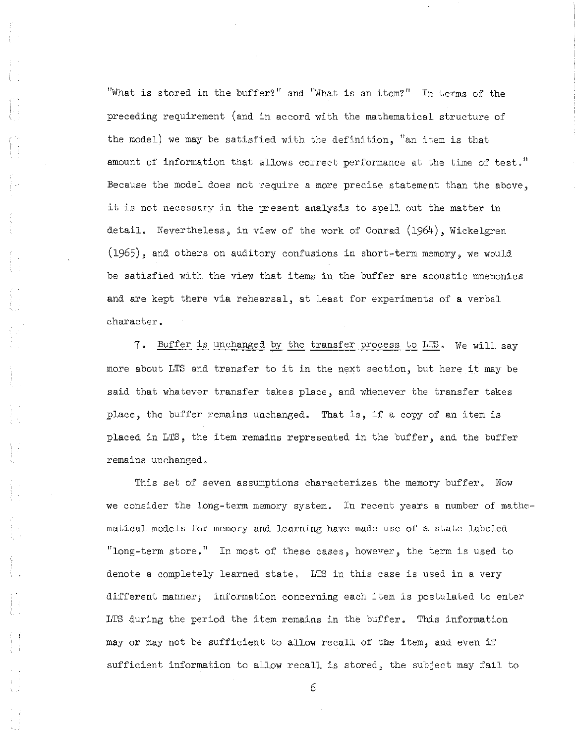"What is stored in the buffer?" and "What is an item?" In terms of the preceding requirement (and in accord with the mathematical structure of the model) we may be satisfied with the definition, "an item is that amount of information that allows correct performance at the time of test." Because the model does not require a more precise statement than the above, it is not necessary in the present analysis to spell out the matter in detail. Nevertheless, in view of the work of Conrad (1964), Wickelgren  $(1965)$ , and others on auditory confusions in short-term memory, we would be satisfied with the view that items in the buffer are acoustic mnemonics and are kept there via rehearsal, at least for experiments of a verbal character.

7. Buffer is unchanged by the transfer process to LTS. We will. say more about LTS and transfer to it in the next section, but here it may be said that whatever transfer takes place, and whenever the transfer takes place, the buffer remains unchanged. That is, if <sup>a</sup> copy of an item is placed in LTS, the item remains represented in the buffer, and the buffer remains unchanged.

This set of seven assumptions characterizes the memory buffer. Now we consider the long-term memory system. In recent years a number of mathematical models for memory and learning have made use of a state labeled. "long-term store." In most of these cases, however, the term is used to denote a completely learned state. LTS in this case is used in a very different manner; information concerning each item is postulated to enter LTS during the period the item remains in the buffer. This information mayor may not be sufficient to allow recall of the item, and even if sufficient information to allow recall is stored, the subject may fail to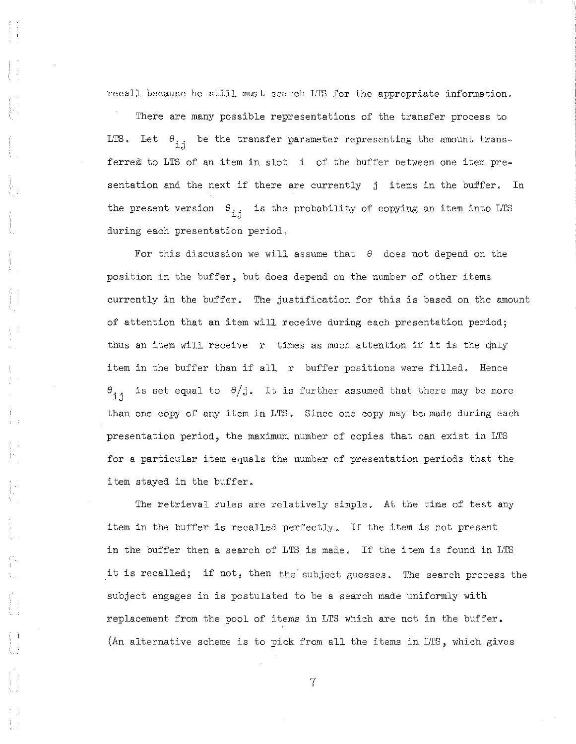recall because he still must search LTS for the appropriate information.

There are many possible representations of the transfer process to LTS. Let  $\theta_{i,j}$  be the transfer parameter representing the amount transferred to LTS of an item in slot i of the buffer between one item presentation and the next if there are currently j items in the buffer. In the present version  $\theta_{j,i}$  is the probability of copying an item into LTS during each presentation period.

For this discussion we will assume that *e* does not depend on the position in the buffer, but does depend on the number of other items currently in the buffer. The justification for this is based on the amount of attention that an item will receive during each presentation period; thus an item will receive  $r$  times as much attention if it is the dnly item in the buffer than if all r buffer positions were filled. Hence  $\theta_{i,i}$  is set equal to  $\theta/j$ . It is further assumed that there may be more than one copy of any item in LTS. Since one copy may be, made during each presentation period, the maximum number of copies that can exist in LTS for a particular item equals the number of presentation periods that the item stayed in the buffer.

The retrieval rules are relatively simple. At the time of test any item in the buffer is recalled perfectly. If the item is not present in the buffer then <sup>a</sup> search of LTS is made. If the item is found in LTS it is recalled; if not, then the subject guesses. The search process the subject engages in is postulated to be a search made uniformly with replacement from the pool of items in LTS which are not in the buffer. (An alternative scheme is to pick from all the items in LTS, which gives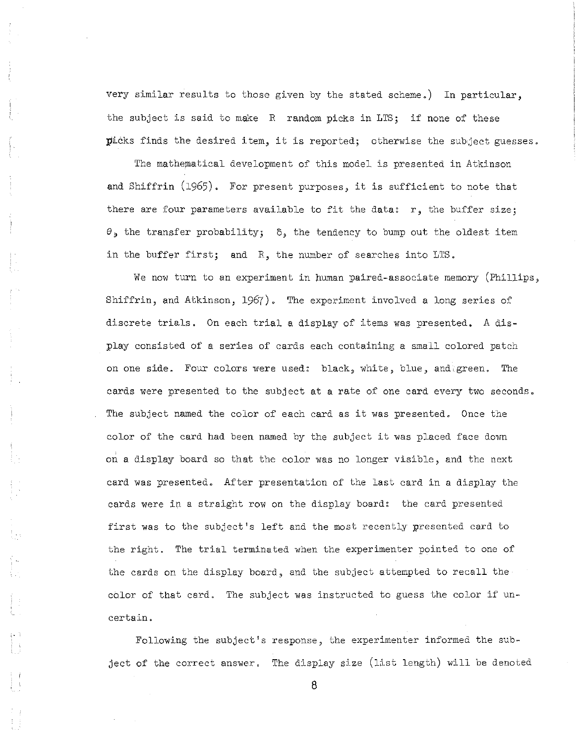very similar results to those given by the stated scheme,) In particular, the subject is said to make R random picks in LTS; if none of these  $pi$ cks finds the desired item, it is reported; otherwise the subject guesses.

The mathematical development of this model is presented in Atkinson and Shiffrin (1965), For present purposes, it is sufficient to note that there are four parameters available to fit the data:  $r$ , the buffer size;  $\theta$ , the transfer probability;  $\delta$ , the tendency to bump out the oldest item in the buffer first; and R, the number of searches into LTS.

We now turn to an experiment in human paired-associate memory (Phillips, Shiffrin, and Atkinson, 1967), The experiment involved a long series of discrete trials, On each trial <sup>a</sup> display of items was presented, <sup>A</sup> display consisted of a series of cards each containing a small colored patch on one side. Four colors were used: black, white, blue, and green. The cards were presented to the subject at a rate of one card every two seconds, The subject named the color of each card as it was presented, Once the color of the card had been named by the subject it was placed face down on a display board so that the color was no longer visible, and the next card was presented, After presentation of the last card in a display the cards were in a straight row on the display board: the card presented first was to the subject's left and the most recently presented card to the right. The trial terminated when the experimenter pointed to one of the cards on the display board, and the subject attempted to recall the color of that card. The subject was instructed to guess the color if uncertain.

Following the subject's response, the experimenter informed the subject of the correct answer. The display size (list length) will be denoted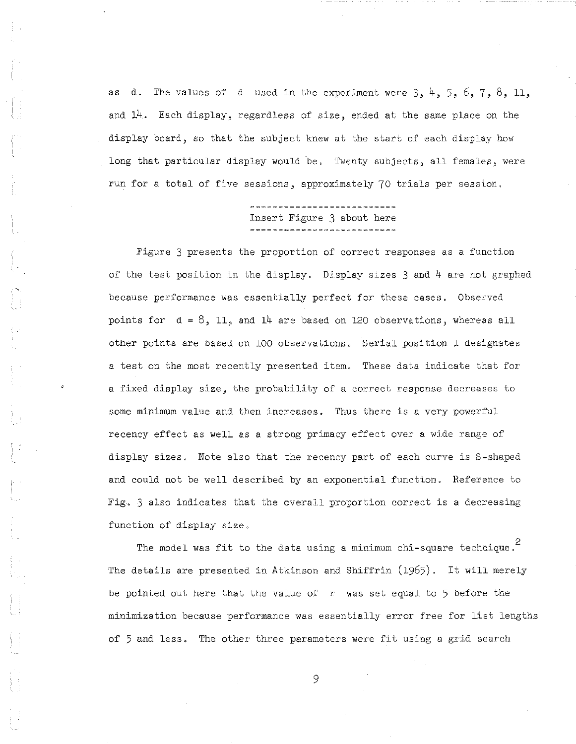as d. The values of d used in the experiment were  $3, 4, 5, 6, 7, 8, 11$ , and 14. Each display, regardless of size, ended at the same place on the display board, so that the subject knew at the start of each display how long that particular display would be. Twenty subjects, all females, were run for a total of five sessions, approximately 70 trials per session.

Insert Figure 3 about here

Figure 3 presents the proportion of correct responses as a function of the test position in the display. Display sizes  $3$  and  $4$  are not graphed because performance was essentially perfect for these cases. Observed points for  $d = 8$ , 11, and 14 are based on 120 observations, whereas all other points are based on 100 observations. Serial position 1 designates a test on the most recently presented item. These data indicate that for a fixed display size, the probability of a correct response decreases to some minimum value and then increases. Thus there is a very powerful recency effect as well as a strong primacy effect over a wide range of display sizes. Note also that the recency part of each curve is S-shaped and could not be well described by an exponential function. Reference to Fig. 3 also indicates that the overall proportion correct is a decreasing function of display size.

The model was fit to the data using a minimum chi-square technique.<sup>2</sup> The details are presented in Atkinson and Shiffrin (1965). It will merely be pointed out here that the value of  $r$  was set equal to 5 before the minimization because performance was essentially error free for list lengths of 5 and less. The other three parameters were fit using a grid search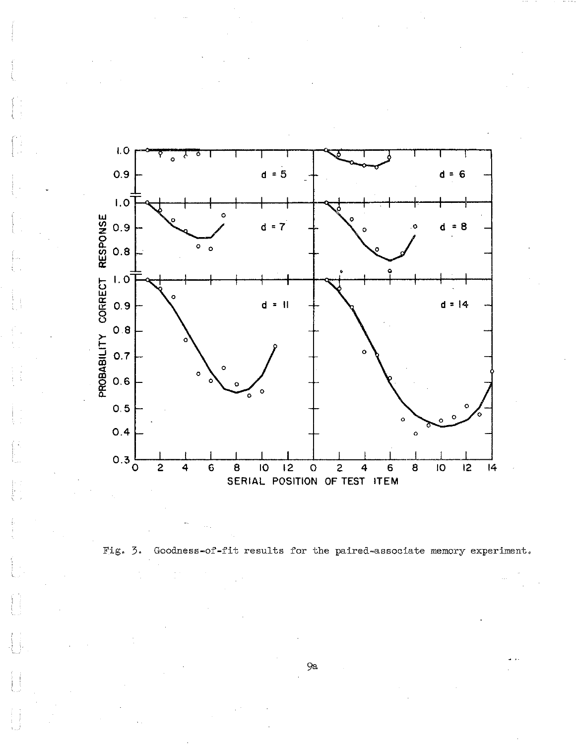



9a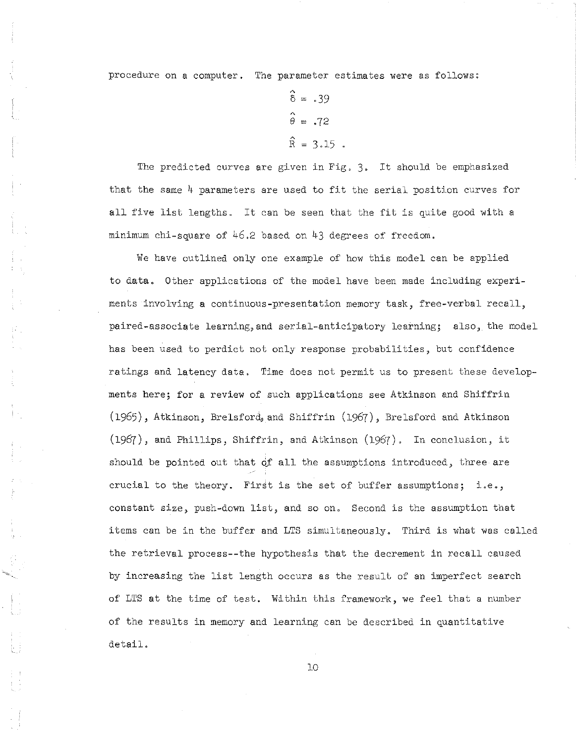procedure on a computer. The parameter estimates were as follows:

 $\hat{\delta} = .39$  $\hat{\theta} = .72$  $\hat{R} = 3.15$ 

The predicted curves are given in Fig. 3. It should be emphasized that the same 4 parameters are used to fit the serial position curves for all five list lengths. It can be seen that the fit is quite good with <sup>a</sup> minimum chi-square of 46.2 based on 43 degrees of freedom.

We have outlined only one example of how this model can be applied to data. Other applications of the model have been made including experiments involving a continuous-presentation memory task, free-verbal recall, paired-associate learning,and serial-anticipatory learning; also, the model has been used to perdict not only response probabilities, but confidence ratings and latency data. Time does not permit us to present these developments here; for a review of such applications see Atkinson and Shiffrin (1965), Atkinson, Brelsford, and Shiffrin (1967), Brelsford and Atkinson (1967), and Phillips, Shiffrin, and Atkinson (1967). In conclusion, it should be pointed out that of all the assumptions introduced, three are crucial to the theory. First is the set of buffer assumptions; i.e., constant size, push-down list, and so on. Second is the assumption that items can be in the buffer and LTS simultaneously. Third is what was called the retrieval process--the hypothesis that the decrement in recall caused by increasing the list length occurs as the result of an imperfect search of LTS at the time of test. Within this framework, we feel that a number of the results in memory and learning can be described in quantitative detail.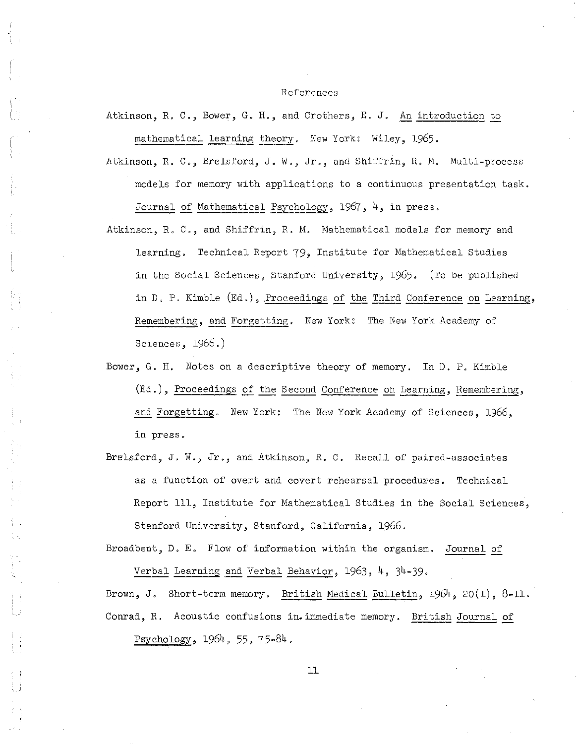### References

Atkinson, R. C., Bower, G. H., and Crothers, E. J. An introduction to mathematical learning theory. New York: Wiley, 1965.

- Atkinson, R. C., Brelsford, J. W., Jr., and Shiffrin, R. M. Multi-process models for memory with applications to a continuous presentation task. Journal of Mathematical Psychology, 1967, 4, in press.
- Atkinson, R. C., and Shiffrin, R. M. Mathematical models for memory and learning. Technical Report 79, Institute for Mathematical Studies in the Social Sciences, Stanford University, 1965. (To be published in D. P. Kimble (Ed.), .Proceedings of the Third Conference on Learning, Remembering, and Forgetting. New York: The New York Academy of Sciences, 1966.)
- Bower, G. H. Notes on a descriptive theory of memory. In D. P. Kimble (Ed.), Proceedings of the Second Conference on Learning, Remembering, and Forgetting. New York: The New York Academy of Sciences, 1966, in press.
- Br81sford, J. W., Jr., and Atkinson, R. C. Recall of paired-associates as a function of overt and covert rehearsal procedures. Technical Report 111, Institute for Mathematical Studies in the Social Sciences, Stanford University, Stanford, California, 1966.

Broadbent, D. E. Flow of information within the organism. Journal of Verbal Learning and Verbal Behavior, 1963, 4, 34-39.

Brown, J. Short-term memory. British Medical Bulletin, 1964, 20(1), 8-11. Conrad, R. Acoustic confusions in. immediate memory. British Journal of Psychology, 1964, 55, 75-84.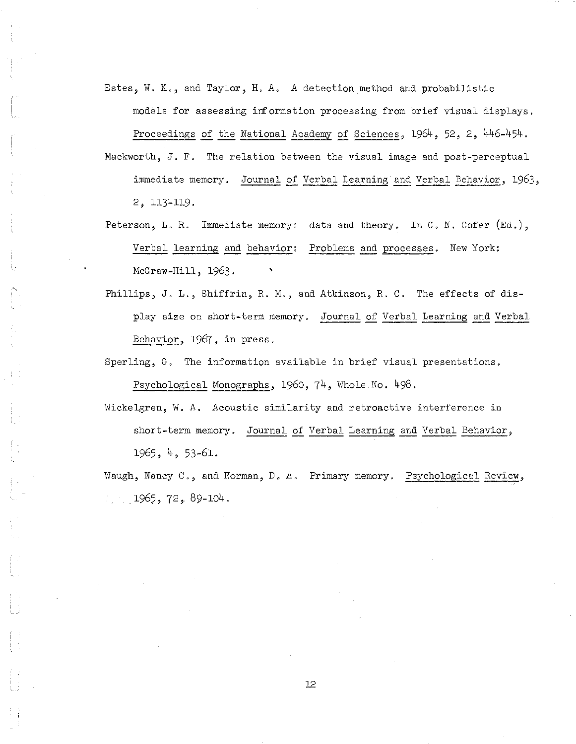Estes, W. K., and Taylor, H. A. A detection method and probabilistic models for assessing information processing from brief visual displays.

Proceedings of the National Academy of Sciences, 1964, 52, 2, 446-454. Mackworth, J. F. The relation between the visual image and post-perceptual immediate memory. Journal of Verbal Learning and Verbal Behavior, 1963,

2, 113-119.

- Peterson, L. R. Immediate memory: data and theory. In C. N. Cofer (Ed.), Verbal learning and behavior: Problems and processes. New York: McGraw-Hill, 1963.
- Phillips, J. L., Shiffrin, R. M., and Atkinson, R. C. The effects of display size on short-term memory. Journal of Verbal Learning and Verbal Behavior, 1967, in press.
- Sperling, G. The information available in brief visual presentations. Psychological Monographs, 1960, 74, Whole No. 498.
- Wickelgren, W. A. Acoustic similarity and retroactive interference in short-term memory. Journal of Verbal Learning and Verbal Behavior, 1965, 4, 53-61.

Waugh, Nancy C., and Norman, D. A. Primary memory. Psychological Review,  $1965, 72, 89-104.$